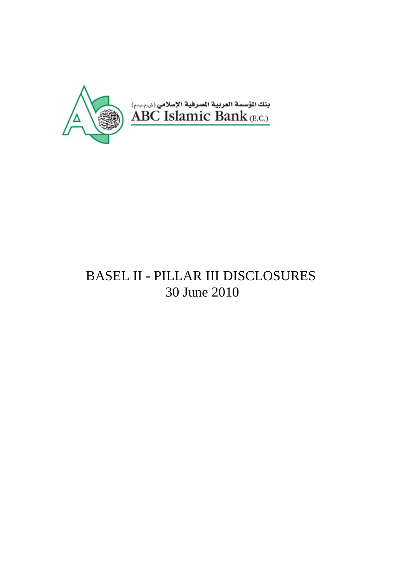

# BASEL II - PILLAR III DISCLOSURES 30 June 2010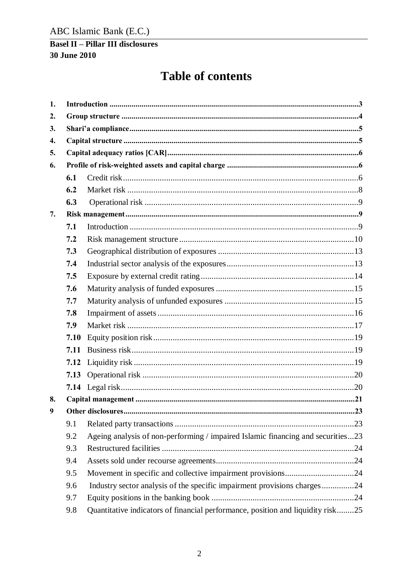# **Table of contents**

| 1. |      |                                                                                 |  |  |  |  |  |  |  |
|----|------|---------------------------------------------------------------------------------|--|--|--|--|--|--|--|
| 2. |      |                                                                                 |  |  |  |  |  |  |  |
| 3. |      |                                                                                 |  |  |  |  |  |  |  |
| 4. |      |                                                                                 |  |  |  |  |  |  |  |
| 5. |      |                                                                                 |  |  |  |  |  |  |  |
| 6. |      |                                                                                 |  |  |  |  |  |  |  |
|    | 6.1  |                                                                                 |  |  |  |  |  |  |  |
|    | 6.2  |                                                                                 |  |  |  |  |  |  |  |
|    | 6.3  |                                                                                 |  |  |  |  |  |  |  |
| 7. |      |                                                                                 |  |  |  |  |  |  |  |
|    | 7.1  |                                                                                 |  |  |  |  |  |  |  |
|    | 7.2  |                                                                                 |  |  |  |  |  |  |  |
|    | 7.3  |                                                                                 |  |  |  |  |  |  |  |
|    | 7.4  |                                                                                 |  |  |  |  |  |  |  |
|    | 7.5  |                                                                                 |  |  |  |  |  |  |  |
|    | 7.6  |                                                                                 |  |  |  |  |  |  |  |
|    | 7.7  |                                                                                 |  |  |  |  |  |  |  |
|    | 7.8  |                                                                                 |  |  |  |  |  |  |  |
|    | 7.9  |                                                                                 |  |  |  |  |  |  |  |
|    | 7.10 |                                                                                 |  |  |  |  |  |  |  |
|    | 7.11 |                                                                                 |  |  |  |  |  |  |  |
|    | 7.12 |                                                                                 |  |  |  |  |  |  |  |
|    | 7.13 |                                                                                 |  |  |  |  |  |  |  |
|    |      |                                                                                 |  |  |  |  |  |  |  |
| 8. |      |                                                                                 |  |  |  |  |  |  |  |
| 9  |      |                                                                                 |  |  |  |  |  |  |  |
|    | 9.1  |                                                                                 |  |  |  |  |  |  |  |
|    | 9.2  | Ageing analysis of non-performing / impaired Islamic financing and securities23 |  |  |  |  |  |  |  |
|    | 9.3  |                                                                                 |  |  |  |  |  |  |  |
|    | 9.4  |                                                                                 |  |  |  |  |  |  |  |
|    | 9.5  |                                                                                 |  |  |  |  |  |  |  |
|    | 9.6  | Industry sector analysis of the specific impairment provisions charges24        |  |  |  |  |  |  |  |
|    | 9.7  |                                                                                 |  |  |  |  |  |  |  |
|    | 9.8  | Quantitative indicators of financial performance, position and liquidity risk25 |  |  |  |  |  |  |  |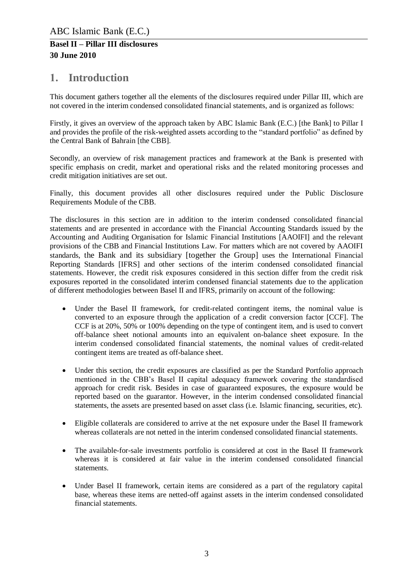# <span id="page-2-0"></span>**1. Introduction**

This document gathers together all the elements of the disclosures required under Pillar III, which are not covered in the interim condensed consolidated financial statements, and is organized as follows:

Firstly, it gives an overview of the approach taken by ABC Islamic Bank (E.C.) [the Bank] to Pillar I and provides the profile of the risk-weighted assets according to the "standard portfolio" as defined by the Central Bank of Bahrain [the CBB].

Secondly, an overview of risk management practices and framework at the Bank is presented with specific emphasis on credit, market and operational risks and the related monitoring processes and credit mitigation initiatives are set out.

Finally, this document provides all other disclosures required under the Public Disclosure Requirements Module of the CBB.

The disclosures in this section are in addition to the interim condensed consolidated financial statements and are presented in accordance with the Financial Accounting Standards issued by the Accounting and Auditing Organisation for Islamic Financial Institutions [AAOIFI] and the relevant provisions of the CBB and Financial Institutions Law. For matters which are not covered by AAOIFI standards, the Bank and its subsidiary [together the Group] uses the International Financial Reporting Standards [IFRS] and other sections of the interim condensed consolidated financial statements. However, the credit risk exposures considered in this section differ from the credit risk exposures reported in the consolidated interim condensed financial statements due to the application of different methodologies between Basel II and IFRS, primarily on account of the following:

- Under the Basel II framework, for credit-related contingent items, the nominal value is converted to an exposure through the application of a credit conversion factor [CCF]. The CCF is at 20%, 50% or 100% depending on the type of contingent item, and is used to convert off-balance sheet notional amounts into an equivalent on-balance sheet exposure. In the interim condensed consolidated financial statements, the nominal values of credit-related contingent items are treated as off-balance sheet.
- Under this section, the credit exposures are classified as per the Standard Portfolio approach mentioned in the CBB's Basel II capital adequacy framework covering the standardised approach for credit risk. Besides in case of guaranteed exposures, the exposure would be reported based on the guarantor. However, in the interim condensed consolidated financial statements, the assets are presented based on asset class (i.e. Islamic financing, securities, etc).
- Eligible collaterals are considered to arrive at the net exposure under the Basel II framework whereas collaterals are not netted in the interim condensed consolidated financial statements.
- The available-for-sale investments portfolio is considered at cost in the Basel II framework whereas it is considered at fair value in the interim condensed consolidated financial statements.
- Under Basel II framework, certain items are considered as a part of the regulatory capital base, whereas these items are netted-off against assets in the interim condensed consolidated financial statements.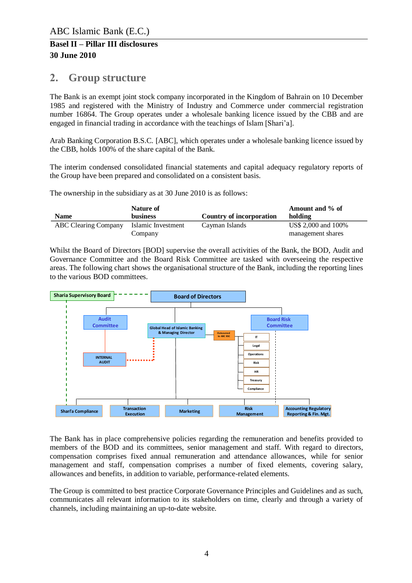# <span id="page-3-0"></span>**2. Group structure**

The Bank is an exempt joint stock company incorporated in the Kingdom of Bahrain on 10 December 1985 and registered with the Ministry of Industry and Commerce under commercial registration number 16864. The Group operates under a wholesale banking licence issued by the CBB and are engaged in financial trading in accordance with the teachings of Islam [Shari'a].

Arab Banking Corporation B.S.C. [ABC], which operates under a wholesale banking licence issued by the CBB, holds 100% of the share capital of the Bank.

The interim condensed consolidated financial statements and capital adequacy regulatory reports of the Group have been prepared and consolidated on a consistent basis.

The ownership in the subsidiary as at 30 June 2010 is as follows:

|                             | Nature of                     |                          | Amount and % of                          |
|-----------------------------|-------------------------------|--------------------------|------------------------------------------|
| <b>Name</b>                 | <b>business</b>               | Country of incorporation | holding                                  |
| <b>ABC Clearing Company</b> | Islamic Investment<br>Company | Cayman Islands           | US\$ 2,000 and 100%<br>management shares |

Whilst the Board of Directors [BOD] supervise the overall activities of the Bank, the BOD, Audit and Governance Committee and the Board Risk Committee are tasked with overseeing the respective areas. The following chart shows the organisational structure of the Bank, including the reporting lines to the various BOD committees.



The Bank has in place comprehensive policies regarding the remuneration and benefits provided to members of the BOD and its committees, senior management and staff. With regard to directors, compensation comprises fixed annual remuneration and attendance allowances, while for senior management and staff, compensation comprises a number of fixed elements, covering salary, allowances and benefits, in addition to variable, performance-related elements.

The Group is committed to best practice Corporate Governance Principles and Guidelines and as such, communicates all relevant information to its stakeholders on time, clearly and through a variety of channels, including maintaining an up-to-date website.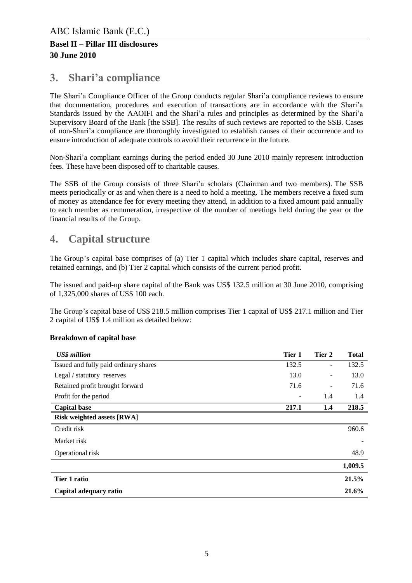# <span id="page-4-0"></span>**3. Shari'a compliance**

The Shari'a Compliance Officer of the Group conducts regular Shari'a compliance reviews to ensure that documentation, procedures and execution of transactions are in accordance with the Shari'a Standards issued by the AAOIFI and the Shari'a rules and principles as determined by the Shari'a Supervisory Board of the Bank [the SSB]. The results of such reviews are reported to the SSB. Cases of non-Shari'a compliance are thoroughly investigated to establish causes of their occurrence and to ensure introduction of adequate controls to avoid their recurrence in the future.

Non-Shari'a compliant earnings during the period ended 30 June 2010 mainly represent introduction fees. These have been disposed off to charitable causes.

The SSB of the Group consists of three Shari'a scholars (Chairman and two members). The SSB meets periodically or as and when there is a need to hold a meeting. The members receive a fixed sum of money as attendance fee for every meeting they attend, in addition to a fixed amount paid annually to each member as remuneration, irrespective of the number of meetings held during the year or the financial results of the Group.

# <span id="page-4-1"></span>**4. Capital structure**

The Group's capital base comprises of (a) Tier 1 capital which includes share capital, reserves and retained earnings, and (b) Tier 2 capital which consists of the current period profit.

The issued and paid-up share capital of the Bank was US\$ 132.5 million at 30 June 2010, comprising of 1,325,000 shares of US\$ 100 each.

The Group's capital base of US\$ 218.5 million comprises Tier 1 capital of US\$ 217.1 million and Tier 2 capital of US\$ 1.4 million as detailed below:

### **Breakdown of capital base**

| <b>US\$</b> million                   | Tier 1 | Tier 2                       | <b>Total</b> |
|---------------------------------------|--------|------------------------------|--------------|
| Issued and fully paid ordinary shares | 132.5  | -                            | 132.5        |
| Legal / statutory reserves            | 13.0   |                              | 13.0         |
| Retained profit brought forward       | 71.6   | $\qquad \qquad \blacksquare$ | 71.6         |
| Profit for the period                 |        | 1.4                          | 1.4          |
| <b>Capital base</b>                   | 217.1  | $1.4\,$                      | 218.5        |
| <b>Risk weighted assets [RWA]</b>     |        |                              |              |
| Credit risk                           |        |                              | 960.6        |
| Market risk                           |        |                              |              |
| Operational risk                      |        |                              | 48.9         |
|                                       |        |                              | 1,009.5      |
| Tier 1 ratio                          |        |                              | 21.5%        |
| Capital adequacy ratio                |        |                              | 21.6%        |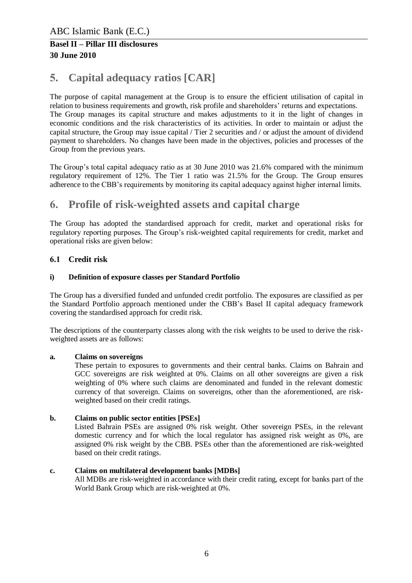# <span id="page-5-0"></span>**5. Capital adequacy ratios [CAR]**

The purpose of capital management at the Group is to ensure the efficient utilisation of capital in relation to business requirements and growth, risk profile and shareholders' returns and expectations. The Group manages its capital structure and makes adjustments to it in the light of changes in economic conditions and the risk characteristics of its activities. In order to maintain or adjust the capital structure, the Group may issue capital / Tier 2 securities and / or adjust the amount of dividend payment to shareholders. No changes have been made in the objectives, policies and processes of the Group from the previous years.

The Group's total capital adequacy ratio as at 30 June 2010 was 21.6% compared with the minimum regulatory requirement of 12%. The Tier 1 ratio was 21.5% for the Group. The Group ensures adherence to the CBB's requirements by monitoring its capital adequacy against higher internal limits.

# <span id="page-5-1"></span>**6. Profile of risk-weighted assets and capital charge**

The Group has adopted the standardised approach for credit, market and operational risks for regulatory reporting purposes. The Group's risk-weighted capital requirements for credit, market and operational risks are given below:

### <span id="page-5-2"></span>**6.1 Credit risk**

### **i) Definition of exposure classes per Standard Portfolio**

The Group has a diversified funded and unfunded credit portfolio. The exposures are classified as per the Standard Portfolio approach mentioned under the CBB's Basel II capital adequacy framework covering the standardised approach for credit risk.

The descriptions of the counterparty classes along with the risk weights to be used to derive the riskweighted assets are as follows:

#### **a. Claims on sovereigns**

These pertain to exposures to governments and their central banks. Claims on Bahrain and GCC sovereigns are risk weighted at 0%. Claims on all other sovereigns are given a risk weighting of 0% where such claims are denominated and funded in the relevant domestic currency of that sovereign. Claims on sovereigns, other than the aforementioned, are riskweighted based on their credit ratings.

#### **b. Claims on public sector entities [PSEs]**

Listed Bahrain PSEs are assigned 0% risk weight. Other sovereign PSEs, in the relevant domestic currency and for which the local regulator has assigned risk weight as 0%, are assigned 0% risk weight by the CBB. PSEs other than the aforementioned are risk-weighted based on their credit ratings.

#### **c. Claims on multilateral development banks [MDBs]**

All MDBs are risk-weighted in accordance with their credit rating, except for banks part of the World Bank Group which are risk-weighted at 0%.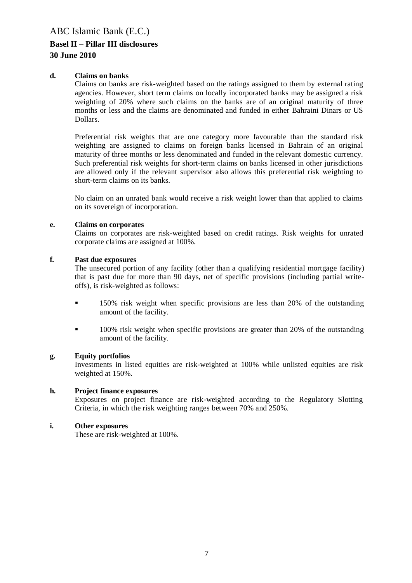#### **d. Claims on banks**

Claims on banks are risk-weighted based on the ratings assigned to them by external rating agencies. However, short term claims on locally incorporated banks may be assigned a risk weighting of 20% where such claims on the banks are of an original maturity of three months or less and the claims are denominated and funded in either Bahraini Dinars or US Dollars.

Preferential risk weights that are one category more favourable than the standard risk weighting are assigned to claims on foreign banks licensed in Bahrain of an original maturity of three months or less denominated and funded in the relevant domestic currency. Such preferential risk weights for short-term claims on banks licensed in other jurisdictions are allowed only if the relevant supervisor also allows this preferential risk weighting to short-term claims on its banks.

No claim on an unrated bank would receive a risk weight lower than that applied to claims on its sovereign of incorporation.

#### **e. Claims on corporates**

Claims on corporates are risk-weighted based on credit ratings. Risk weights for unrated corporate claims are assigned at 100%.

#### **f. Past due exposures**

The unsecured portion of any facility (other than a qualifying residential mortgage facility) that is past due for more than 90 days, net of specific provisions (including partial writeoffs), is risk-weighted as follows:

- 150% risk weight when specific provisions are less than 20% of the outstanding amount of the facility.
- <sup>100%</sup> risk weight when specific provisions are greater than 20% of the outstanding amount of the facility.

#### **g. Equity portfolios**

Investments in listed equities are risk-weighted at 100% while unlisted equities are risk weighted at 150%.

#### **h. Project finance exposures**

Exposures on project finance are risk-weighted according to the Regulatory Slotting Criteria, in which the risk weighting ranges between 70% and 250%.

#### **i. Other exposures**

These are risk-weighted at 100%.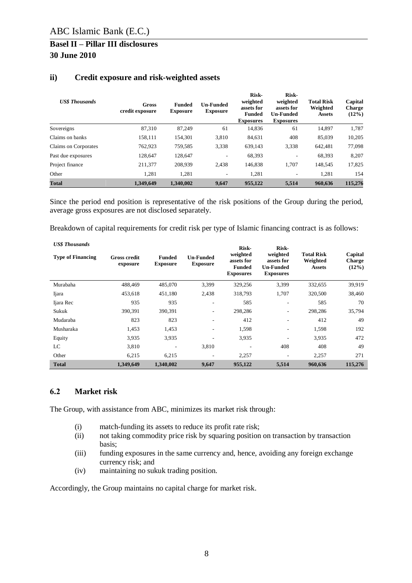| <b>US\$</b> Thousands | Gross<br>credit exposure | <b>Funded</b><br><b>Exposure</b> | <b>Un-Funded</b><br><b>Exposure</b> | Risk-<br>weighted<br>assets for<br><b>Funded</b><br><b>Exposures</b> | <b>Risk-</b><br>weighted<br>assets for<br><b>Un-Funded</b><br><b>Exposures</b> | <b>Total Risk</b><br>Weighted<br><b>Assets</b> | Capital<br><b>Charge</b><br>$(12\%)$ |
|-----------------------|--------------------------|----------------------------------|-------------------------------------|----------------------------------------------------------------------|--------------------------------------------------------------------------------|------------------------------------------------|--------------------------------------|
| Sovereigns            | 87,310                   | 87,249                           | 61                                  | 14,836                                                               | 61                                                                             | 14,897                                         | 1,787                                |
| Claims on banks       | 158,111                  | 154,301                          | 3,810                               | 84,631                                                               | 408                                                                            | 85,039                                         | 10,205                               |
| Claims on Corporates  | 762,923                  | 759,585                          | 3.338                               | 639,143                                                              | 3,338                                                                          | 642.481                                        | 77,098                               |
| Past due exposures    | 128,647                  | 128,647                          | ۰                                   | 68,393                                                               | ۰.                                                                             | 68,393                                         | 8,207                                |
| Project finance       | 211,377                  | 208,939                          | 2,438                               | 146,838                                                              | 1,707                                                                          | 148,545                                        | 17,825                               |
| Other                 | 1,281                    | 1,281                            | ۰                                   | 1,281                                                                | $\overline{\phantom{0}}$                                                       | 1,281                                          | 154                                  |
| <b>Total</b>          | 1.349,649                | 1.340,002                        | 9.647                               | 955,122                                                              | 5,514                                                                          | 960.636                                        | 115,276                              |

### **ii) Credit exposure and risk-weighted assets**

Since the period end position is representative of the risk positions of the Group during the period, average gross exposures are not disclosed separately.

Breakdown of capital requirements for credit risk per type of Islamic financing contract is as follows:

| <b>US\$</b> Thousands    |                                 |                                  |                                     | Risk-                                                       | Risk-                                                   |                                                | Capital<br><b>Charge</b><br>$(12\%)$ |  |
|--------------------------|---------------------------------|----------------------------------|-------------------------------------|-------------------------------------------------------------|---------------------------------------------------------|------------------------------------------------|--------------------------------------|--|
| <b>Type of Financing</b> | <b>Gross credit</b><br>exposure | <b>Funded</b><br><b>Exposure</b> | <b>Un-Funded</b><br><b>Exposure</b> | weighted<br>assets for<br><b>Funded</b><br><b>Exposures</b> | weighted<br>assets for<br>Un-Funded<br><b>Exposures</b> | <b>Total Risk</b><br>Weighted<br><b>Assets</b> |                                      |  |
| Murabaha                 | 488.469                         | 485,070                          | 3,399                               | 329,256                                                     | 3.399                                                   | 332,655                                        | 39,919                               |  |
| Ijara                    | 453,618                         | 451,180                          | 2,438                               | 318,793                                                     | 1,707                                                   | 320,500                                        | 38,460                               |  |
| Ijara Rec                | 935                             | 935                              | $\overline{\phantom{a}}$            | 585                                                         | ۰.                                                      | 585                                            | 70                                   |  |
| Sukuk                    | 390,391                         | 390,391                          | $\overline{\phantom{a}}$            | 298,286                                                     | ۰.                                                      | 298,286                                        | 35,794                               |  |
| Mudaraba                 | 823                             | 823                              | $\overline{\phantom{a}}$            | 412                                                         | ۰                                                       | 412                                            | 49                                   |  |
| Musharaka                | 1,453                           | 1,453                            | ٠                                   | 1,598                                                       | $\overline{\phantom{a}}$                                | 1,598                                          | 192                                  |  |
| Equity                   | 3,935                           | 3,935                            | ٠                                   | 3.935                                                       | ۰.                                                      | 3,935                                          | 472                                  |  |
| LC                       | 3,810                           |                                  | 3,810                               | ۰                                                           | 408                                                     | 408                                            | 49                                   |  |
| Other                    | 6,215                           | 6,215                            | $\overline{\phantom{a}}$            | 2,257                                                       | $\overline{\phantom{a}}$                                | 2,257                                          | 271                                  |  |
| <b>Total</b>             | 1,349,649                       | 1.340.002                        | 9,647                               | 955,122                                                     | 5,514                                                   | 960.636                                        | 115,276                              |  |

### <span id="page-7-0"></span>**6.2 Market risk**

The Group, with assistance from ABC, minimizes its market risk through:

- (i) match-funding its assets to reduce its profit rate risk;
- (ii) not taking commodity price risk by squaring position on transaction by transaction basis;
- (iii) funding exposures in the same currency and, hence, avoiding any foreign exchange currency risk; and
- (iv) maintaining no sukuk trading position.

Accordingly, the Group maintains no capital charge for market risk.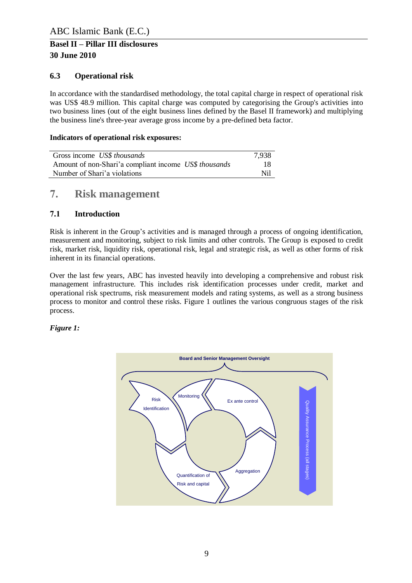### <span id="page-8-0"></span>**6.3 Operational risk**

In accordance with the standardised methodology, the total capital charge in respect of operational risk was US\$ 48.9 million. This capital charge was computed by categorising the Group's activities into two business lines (out of the eight business lines defined by the Basel II framework) and multiplying the business line's three-year average gross income by a pre-defined beta factor.

### **Indicators of operational risk exposures:**

| Gross income US\$ thousands                           | 7,938 |
|-------------------------------------------------------|-------|
| Amount of non-Shari'a compliant income US\$ thousands | 18    |
| Number of Shari'a violations                          | Nil   |

### <span id="page-8-1"></span>**7. Risk management**

### <span id="page-8-2"></span>**7.1 Introduction**

Risk is inherent in the Group's activities and is managed through a process of ongoing identification, measurement and monitoring, subject to risk limits and other controls. The Group is exposed to credit risk, market risk, liquidity risk, operational risk, legal and strategic risk, as well as other forms of risk inherent in its financial operations.

Over the last few years, ABC has invested heavily into developing a comprehensive and robust risk management infrastructure. This includes risk identification processes under credit, market and operational risk spectrums, risk measurement models and rating systems, as well as a strong business process to monitor and control these risks. Figure 1 outlines the various congruous stages of the risk process.

#### *Figure 1:*

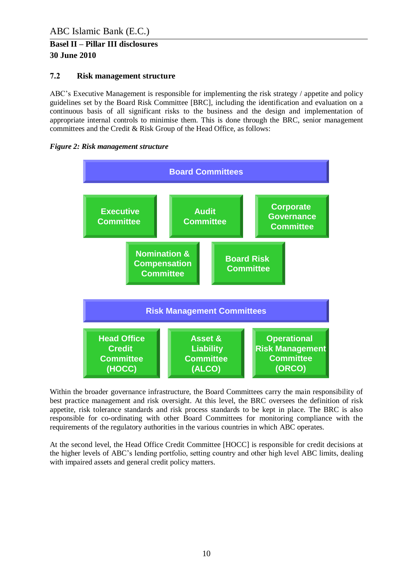### <span id="page-9-0"></span>**7.2 Risk management structure**

ABC's Executive Management is responsible for implementing the risk strategy / appetite and policy guidelines set by the Board Risk Committee [BRC], including the identification and evaluation on a continuous basis of all significant risks to the business and the design and implementation of appropriate internal controls to minimise them. This is done through the BRC, senior management committees and the Credit & Risk Group of the Head Office, as follows:





Within the broader governance infrastructure, the Board Committees carry the main responsibility of best practice management and risk oversight. At this level, the BRC oversees the definition of risk appetite, risk tolerance standards and risk process standards to be kept in place. The BRC is also responsible for co-ordinating with other Board Committees for monitoring compliance with the requirements of the regulatory authorities in the various countries in which ABC operates.

At the second level, the Head Office Credit Committee [HOCC] is responsible for credit decisions at the higher levels of ABC's lending portfolio, setting country and other high level ABC limits, dealing with impaired assets and general credit policy matters.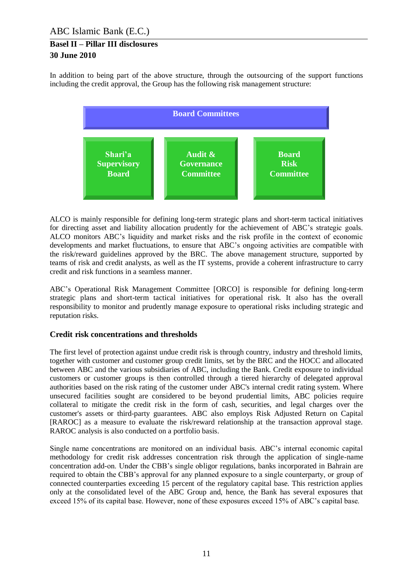In addition to being part of the above structure, through the outsourcing of the support functions including the credit approval, the Group has the following risk management structure:



ALCO is mainly responsible for defining long-term strategic plans and short-term tactical initiatives for directing asset and liability allocation prudently for the achievement of ABC's strategic goals. ALCO monitors ABC's liquidity and market risks and the risk profile in the context of economic developments and market fluctuations, to ensure that ABC's ongoing activities are compatible with the risk/reward guidelines approved by the BRC. The above management structure, supported by teams of risk and credit analysts, as well as the IT systems, provide a coherent infrastructure to carry credit and risk functions in a seamless manner.

ABC's Operational Risk Management Committee [ORCO] is responsible for defining long-term strategic plans and short-term tactical initiatives for operational risk. It also has the overall responsibility to monitor and prudently manage exposure to operational risks including strategic and reputation risks.

### **Credit risk concentrations and thresholds**

The first level of protection against undue credit risk is through country, industry and threshold limits, together with customer and customer group credit limits, set by the BRC and the HOCC and allocated between ABC and the various subsidiaries of ABC, including the Bank. Credit exposure to individual customers or customer groups is then controlled through a tiered hierarchy of delegated approval authorities based on the risk rating of the customer under ABC's internal credit rating system. Where unsecured facilities sought are considered to be beyond prudential limits, ABC policies require collateral to mitigate the credit risk in the form of cash, securities, and legal charges over the customer's assets or third-party guarantees. ABC also employs Risk Adjusted Return on Capital [RAROC] as a measure to evaluate the risk/reward relationship at the transaction approval stage. RAROC analysis is also conducted on a portfolio basis.

Single name concentrations are monitored on an individual basis. ABC's internal economic capital methodology for credit risk addresses concentration risk through the application of single-name concentration add-on. Under the CBB's single obligor regulations, banks incorporated in Bahrain are required to obtain the CBB's approval for any planned exposure to a single counterparty, or group of connected counterparties exceeding 15 percent of the regulatory capital base. This restriction applies only at the consolidated level of the ABC Group and, hence, the Bank has several exposures that exceed 15% of its capital base. However, none of these exposures exceed 15% of ABC's capital base.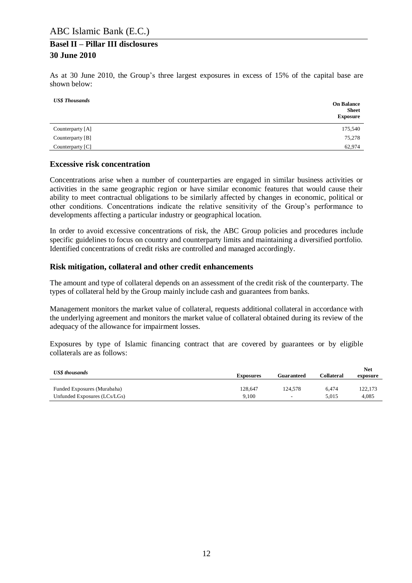As at 30 June 2010, the Group's three largest exposures in excess of 15% of the capital base are shown below:

| <b>US\$</b> Thousands | <b>On Balance</b><br><b>Sheet</b><br><b>Exposure</b> |
|-----------------------|------------------------------------------------------|
| Counterparty [A]      | 175,540                                              |
| Counterparty [B]      | 75,278                                               |
| Counterparty [C]      | 62,974                                               |

### **Excessive risk concentration**

Concentrations arise when a number of counterparties are engaged in similar business activities or activities in the same geographic region or have similar economic features that would cause their ability to meet contractual obligations to be similarly affected by changes in economic, political or other conditions. Concentrations indicate the relative sensitivity of the Group's performance to developments affecting a particular industry or geographical location.

In order to avoid excessive concentrations of risk, the ABC Group policies and procedures include specific guidelines to focus on country and counterparty limits and maintaining a diversified portfolio. Identified concentrations of credit risks are controlled and managed accordingly.

#### **Risk mitigation, collateral and other credit enhancements**

The amount and type of collateral depends on an assessment of the credit risk of the counterparty. The types of collateral held by the Group mainly include cash and guarantees from banks.

Management monitors the market value of collateral, requests additional collateral in accordance with the underlying agreement and monitors the market value of collateral obtained during its review of the adequacy of the allowance for impairment losses.

Exposures by type of Islamic financing contract that are covered by guarantees or by eligible collaterals are as follows:

| <b>US\$</b> thousands        | <b>Exposures</b> | Guaranteed               | Collateral | <b>Net</b><br>exposure |  |
|------------------------------|------------------|--------------------------|------------|------------------------|--|
| Funded Exposures (Murabaha)  | 128.647          | 124,578                  | 6.474      | 122,173                |  |
| Unfunded Exposures (LCs/LGs) | 9.100            | $\overline{\phantom{a}}$ | 5.015      | 4.085                  |  |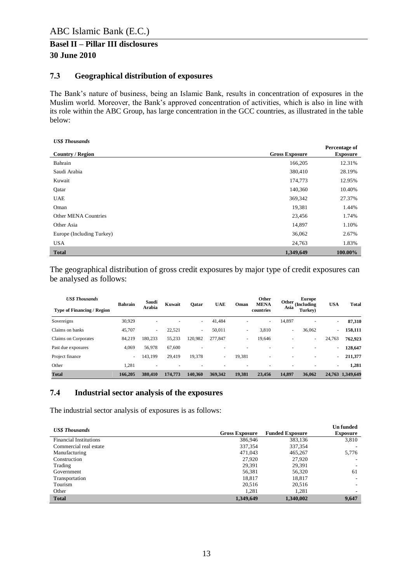### <span id="page-12-0"></span>**7.3 Geographical distribution of exposures**

The Bank's nature of business, being an Islamic Bank, results in concentration of exposures in the Muslim world. Moreover, the Bank's approved concentration of activities, which is also in line with its role within the ABC Group, has large concentration in the GCC countries, as illustrated in the table below:

| <b>US\$</b> Thousands       |                       |                                  |
|-----------------------------|-----------------------|----------------------------------|
| <b>Country / Region</b>     | <b>Gross Exposure</b> | Percentage of<br><b>Exposure</b> |
| Bahrain                     | 166,205               | 12.31%                           |
| Saudi Arabia                | 380,410               | 28.19%                           |
| Kuwait                      | 174,773               | 12.95%                           |
| Qatar                       | 140,360               | 10.40%                           |
| <b>UAE</b>                  | 369,342               | 27.37%                           |
| Oman                        | 19,381                | 1.44%                            |
| <b>Other MENA Countries</b> | 23,456                | 1.74%                            |
| Other Asia                  | 14,897                | 1.10%                            |
| Europe (Including Turkey)   | 36,062                | 2.67%                            |
| <b>USA</b>                  | 24,763                | 1.83%                            |
| <b>Total</b>                | 1,349,649             | 100.00%                          |

The geographical distribution of gross credit exposures by major type of credit exposures can be analysed as follows:

| <b>US\$ Thousands</b>             | <b>Bahrain</b> | Saudi                    | Kuwait  | Qatar                    | <b>UAE</b>               | Oman                     | Other<br><b>MENA</b> | Other  | Europe<br>(Including | <b>USA</b> | <b>Total</b>     |
|-----------------------------------|----------------|--------------------------|---------|--------------------------|--------------------------|--------------------------|----------------------|--------|----------------------|------------|------------------|
| <b>Type of Financing / Region</b> |                | <b>Arabia</b>            |         |                          |                          |                          | countries            | Asia   | Turkey)              |            |                  |
| Sovereigns                        | 30,929         | ٠                        |         | ٠                        | 41.484                   |                          | ٠                    | 14,897 | ٠                    | $\sim$     | 87,310           |
| Claims on banks                   | 45,707         | $\overline{\phantom{a}}$ | 22,521  | $\overline{\phantom{a}}$ | 50,011                   | $\overline{\phantom{a}}$ | 3,810                | ٠      | 36,062               | $\sim$     | 158,111          |
| Claims on Corporates              | 84.219         | 180.233                  | 55,233  | 120,982                  | 277,847                  | $\overline{\phantom{a}}$ | 19,646               | ۰      | ۰                    | 24,763     | 762.923          |
| Past due exposures                | 4,069          | 56,978                   | 67.600  | $\overline{\phantom{a}}$ |                          |                          | ۰                    |        | ۰                    | $\sim$     | 128,647          |
| Project finance                   | -              | 143,199                  | 29,419  | 19,378                   | $\overline{\phantom{a}}$ | 19,381                   | ۰                    |        | ۰                    | ٠          | 211,377          |
| Other                             | 1,281          | ۰                        |         |                          |                          |                          |                      |        |                      | ۰          | 1,281            |
| <b>Total</b>                      | 166.205        | 380,410                  | 174,773 | 140.360                  | 369.342                  | 19,381                   | 23.456               | 14.897 | 36,062               |            | 24,763 1,349,649 |

### <span id="page-12-1"></span>**7.4 Industrial sector analysis of the exposures**

The industrial sector analysis of exposures is as follows:

| <b>US\$</b> Thousands         |                       |                        | <b>Un</b> funded         |
|-------------------------------|-----------------------|------------------------|--------------------------|
|                               | <b>Gross Exposure</b> | <b>Funded Exposure</b> | <b>Exposure</b>          |
| <b>Financial Institutions</b> | 386,946               | 383,136                | 3,810                    |
| Commercial real estate        | 337,354               | 337,354                |                          |
| Manufacturing                 | 471,043               | 465,267                | 5,776                    |
| Construction                  | 27,920                | 27,920                 | -                        |
| Trading                       | 29,391                | 29,391                 | $\overline{\phantom{a}}$ |
| Government                    | 56,381                | 56,320                 | 61                       |
| Transportation                | 18,817                | 18,817                 | -                        |
| Tourism                       | 20,516                | 20,516                 | ۰                        |
| Other                         | 1,281                 | 1,281                  |                          |
| <b>Total</b>                  | 1,349,649             | 1,340,002              | 9,647                    |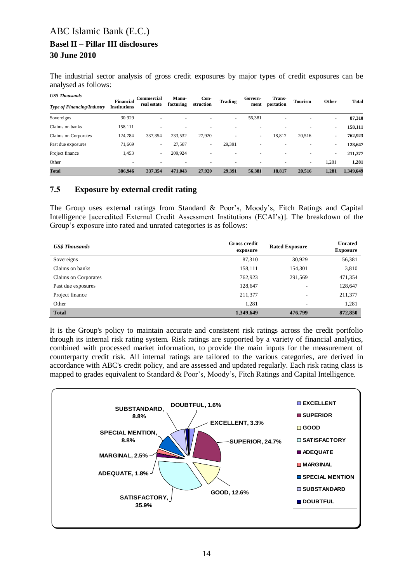The industrial sector analysis of gross credit exposures by major types of credit exposures can be analysed as follows:

| <b>US\$ Thousands</b>             | <b>Financial</b>    | <b>Commercial</b> | Manu-     | Con-                     | <b>Trading</b>           | Govern-                  | Trans-    | <b>Tourism</b>           | Other  | <b>Total</b> |
|-----------------------------------|---------------------|-------------------|-----------|--------------------------|--------------------------|--------------------------|-----------|--------------------------|--------|--------------|
| <b>Type of Financing/Industry</b> | <b>Institutions</b> | real estate       | facturing | struction                |                          | ment                     | portation |                          |        |              |
| Sovereigns                        | 30,929              | ۰                 |           | ۰                        | $\overline{\phantom{a}}$ | 56,381                   |           |                          | ٠      | 87,310       |
| Claims on banks                   | 158.111             | ۰                 |           |                          |                          |                          |           |                          | ۰      | 158,111      |
| Claims on Corporates              | 124,784             | 337,354           | 233,532   | 27,920                   |                          | $\overline{\phantom{a}}$ | 18,817    | 20,516                   | ۰      | 762,923      |
| Past due exposures                | 71,669              | ٠                 | 27,587    | $\overline{\phantom{a}}$ | 29.391                   |                          |           |                          | $\sim$ | 128,647      |
| Project finance                   | 1,453               | ٠                 | 209,924   | ۰                        |                          |                          | ۰         | $\overline{\phantom{a}}$ | $\sim$ | 211,377      |
| Other                             |                     |                   |           |                          |                          |                          |           | $\overline{\phantom{a}}$ | 1,281  | 1,281        |
| <b>Total</b>                      | 386.946             | 337,354           | 471,043   | 27,920                   | 29.391                   | 56.381                   | 18,817    | 20,516                   | 1,281  | 1,349,649    |

### <span id="page-13-0"></span>**7.5 Exposure by external credit rating**

The Group uses external ratings from Standard & Poor's, Moody's, Fitch Ratings and Capital Intelligence [accredited External Credit Assessment Institutions (ECAI's)]. The breakdown of the Group's exposure into rated and unrated categories is as follows:

| <b>US\$</b> Thousands | <b>Gross credit</b><br>exposure | <b>Rated Exposure</b>    | <b>Unrated</b><br><b>Exposure</b> |
|-----------------------|---------------------------------|--------------------------|-----------------------------------|
| Sovereigns            | 87,310                          | 30,929                   | 56,381                            |
| Claims on banks       | 158,111                         | 154,301                  | 3,810                             |
| Claims on Corporates  | 762,923                         | 291,569                  | 471,354                           |
| Past due exposures    | 128,647                         | ۰                        | 128,647                           |
| Project finance       | 211,377                         | $\overline{\phantom{a}}$ | 211,377                           |
| Other                 | 1,281                           | ۰                        | 1,281                             |
| <b>Total</b>          | 1,349,649                       | 476,799                  | 872,850                           |

It is the Group's policy to maintain accurate and consistent risk ratings across the credit portfolio through its internal risk rating system. Risk ratings are supported by a variety of financial analytics, combined with processed market information, to provide the main inputs for the measurement of counterparty credit risk. All internal ratings are tailored to the various categories, are derived in accordance with ABC's credit policy, and are assessed and updated regularly. Each risk rating class is mapped to grades equivalent to Standard & Poor's, Moody's, Fitch Ratings and Capital Intelligence.

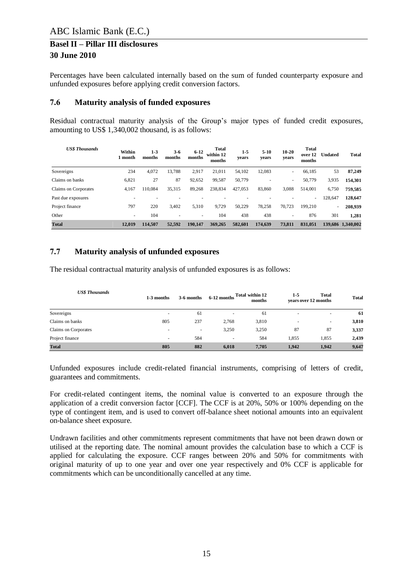Percentages have been calculated internally based on the sum of funded counterparty exposure and unfunded exposures before applying credit conversion factors.

### <span id="page-14-0"></span>**7.6 Maturity analysis of funded exposures**

Residual contractual maturity analysis of the Group's major types of funded credit exposures, amounting to US\$ 1,340,002 thousand, is as follows:

| <b>US\$ Thousands</b> | Within<br>l month | $1 - 3$<br>months | $3-6$<br>months | $6 - 12$<br>months | <b>Total</b><br>within 12<br>months | $1 - 5$<br>vears | $5 - 10$<br>years | $10 - 20$<br>years       | <b>Total</b><br>over 12<br>months | <b>Undated</b> | <b>Total</b>      |
|-----------------------|-------------------|-------------------|-----------------|--------------------|-------------------------------------|------------------|-------------------|--------------------------|-----------------------------------|----------------|-------------------|
| Sovereigns            | 234               | 4,072             | 13,788          | 2,917              | 21,011                              | 54,102           | 12,083            | $\overline{\phantom{a}}$ | 66,185                            | 53             | 87,249            |
| Claims on banks       | 6,821             | 27                | 87              | 92.652             | 99,587                              | 50.779           |                   | ۰                        | 50.779                            | 3,935          | 154,301           |
| Claims on Corporates  | 4,167             | 110.084           | 35,315          | 89,268             | 238,834                             | 427,053          | 83,860            | 3,088                    | 514,001                           | 6,750          | 759,585           |
| Past due exposures    |                   |                   |                 |                    |                                     |                  |                   |                          | ٠                                 | 128,647        | 128,647           |
| Project finance       | 797               | 220               | 3.402           | 5,310              | 9.729                               | 50.229           | 78,258            | 70.723                   | 199.210                           |                | 208,939           |
| Other                 | $\overline{a}$    | 104               | ۰               | ٠                  | 104                                 | 438              | 438               | $\overline{\phantom{a}}$ | 876                               | 301            | 1,281             |
| <b>Total</b>          | 12.019            | 114.507           | 52,592          | 190.147            | 369.265                             | 582,601          | 174,639           | 73,811                   | 831.051                           |                | 139,686 1,340,002 |

### <span id="page-14-1"></span>**7.7 Maturity analysis of unfunded exposures**

The residual contractual maturity analysis of unfunded exposures is as follows:

| <b>US\$ Thousands</b> | 1-3 months               | 3-6 months | 6-12 months              | Total within 12<br>months | 1-5   | Total<br>vears over 12 months | <b>Total</b> |
|-----------------------|--------------------------|------------|--------------------------|---------------------------|-------|-------------------------------|--------------|
| Sovereigns            | $\overline{\phantom{a}}$ | 61         | $\overline{\phantom{a}}$ | 61                        | ۰     | $\overline{\phantom{a}}$      | 61           |
| Claims on banks       | 805                      | 237        | 2,768                    | 3,810                     | ۰     |                               | 3,810        |
| Claims on Corporates  | ۰                        |            | 3,250                    | 3,250                     | 87    | 87                            | 3,337        |
| Project finance       | ۰                        | 584        | $\overline{\phantom{a}}$ | 584                       | 1,855 | 1,855                         | 2,439        |
| <b>Total</b>          | 805                      | 882        | 6,018                    | 7.705                     | 1.942 | 1,942                         | 9,647        |

Unfunded exposures include credit-related financial instruments, comprising of letters of credit, guarantees and commitments.

For credit-related contingent items, the nominal value is converted to an exposure through the application of a credit conversion factor [CCF]. The CCF is at 20%, 50% or 100% depending on the type of contingent item, and is used to convert off-balance sheet notional amounts into an equivalent on-balance sheet exposure.

Undrawn facilities and other commitments represent commitments that have not been drawn down or utilised at the reporting date. The nominal amount provides the calculation base to which a CCF is applied for calculating the exposure. CCF ranges between 20% and 50% for commitments with original maturity of up to one year and over one year respectively and 0% CCF is applicable for commitments which can be unconditionally cancelled at any time.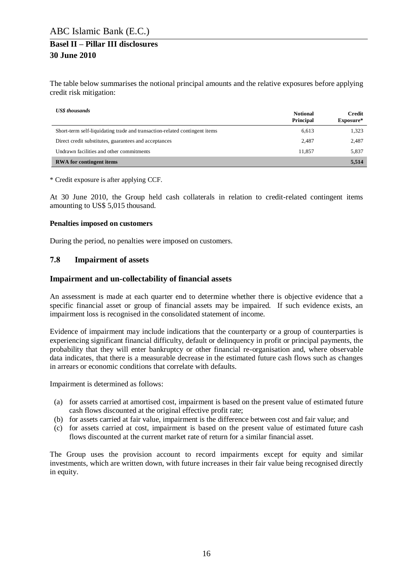The table below summarises the notional principal amounts and the relative exposures before applying credit risk mitigation:

| <b>US\$</b> thousands                                                      | <b>Notional</b><br>Principal | <b>Credit</b><br>Exposure* |
|----------------------------------------------------------------------------|------------------------------|----------------------------|
| Short-term self-liquidating trade and transaction-related contingent items | 6,613                        | 1,323                      |
| Direct credit substitutes, guarantees and acceptances                      | 2.487                        | 2,487                      |
| Undrawn facilities and other commitments                                   | 11.857                       | 5,837                      |
| <b>RWA</b> for contingent items                                            |                              | 5,514                      |

\* Credit exposure is after applying CCF.

At 30 June 2010, the Group held cash collaterals in relation to credit-related contingent items amounting to US\$ 5,015 thousand.

#### **Penalties imposed on customers**

During the period, no penalties were imposed on customers.

#### <span id="page-15-0"></span>**7.8 Impairment of assets**

#### **Impairment and un-collectability of financial assets**

An assessment is made at each quarter end to determine whether there is objective evidence that a specific financial asset or group of financial assets may be impaired. If such evidence exists, an impairment loss is recognised in the consolidated statement of income.

Evidence of impairment may include indications that the counterparty or a group of counterparties is experiencing significant financial difficulty, default or delinquency in profit or principal payments, the probability that they will enter bankruptcy or other financial re-organisation and, where observable data indicates, that there is a measurable decrease in the estimated future cash flows such as changes in arrears or economic conditions that correlate with defaults.

Impairment is determined as follows:

- (a) for assets carried at amortised cost, impairment is based on the present value of estimated future cash flows discounted at the original effective profit rate;
- (b) for assets carried at fair value, impairment is the difference between cost and fair value; and
- (c) for assets carried at cost, impairment is based on the present value of estimated future cash flows discounted at the current market rate of return for a similar financial asset.

The Group uses the provision account to record impairments except for equity and similar investments, which are written down, with future increases in their fair value being recognised directly in equity.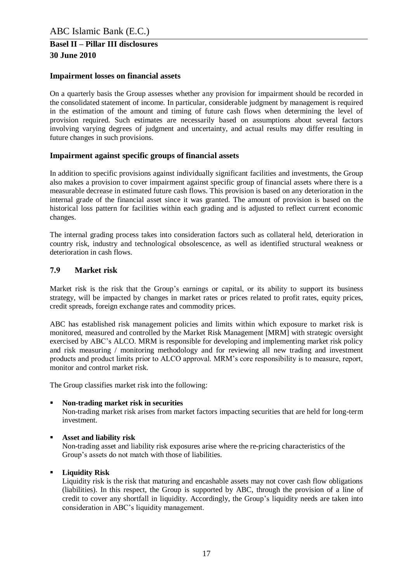#### **Impairment losses on financial assets**

On a quarterly basis the Group assesses whether any provision for impairment should be recorded in the consolidated statement of income. In particular, considerable judgment by management is required in the estimation of the amount and timing of future cash flows when determining the level of provision required. Such estimates are necessarily based on assumptions about several factors involving varying degrees of judgment and uncertainty, and actual results may differ resulting in future changes in such provisions.

#### **Impairment against specific groups of financial assets**

In addition to specific provisions against individually significant facilities and investments, the Group also makes a provision to cover impairment against specific group of financial assets where there is a measurable decrease in estimated future cash flows. This provision is based on any deterioration in the internal grade of the financial asset since it was granted. The amount of provision is based on the historical loss pattern for facilities within each grading and is adjusted to reflect current economic changes.

The internal grading process takes into consideration factors such as collateral held, deterioration in country risk, industry and technological obsolescence, as well as identified structural weakness or deterioration in cash flows.

#### <span id="page-16-0"></span>**7.9 Market risk**

Market risk is the risk that the Group's earnings or capital, or its ability to support its business strategy, will be impacted by changes in market rates or prices related to profit rates, equity prices, credit spreads, foreign exchange rates and commodity prices.

ABC has established risk management policies and limits within which exposure to market risk is monitored, measured and controlled by the Market Risk Management [MRM] with strategic oversight exercised by ABC's ALCO. MRM is responsible for developing and implementing market risk policy and risk measuring / monitoring methodology and for reviewing all new trading and investment products and product limits prior to ALCO approval. MRM's core responsibility is to measure, report, monitor and control market risk.

The Group classifies market risk into the following:

#### **Non-trading market risk in securities**

Non-trading market risk arises from market factors impacting securities that are held for long-term investment.

### **Asset and liability risk**

Non-trading asset and liability risk exposures arise where the re-pricing characteristics of the Group's assets do not match with those of liabilities.

#### **Liquidity Risk**

Liquidity risk is the risk that maturing and encashable assets may not cover cash flow obligations (liabilities). In this respect, the Group is supported by ABC, through the provision of a line of credit to cover any shortfall in liquidity. Accordingly, the Group's liquidity needs are taken into consideration in ABC's liquidity management.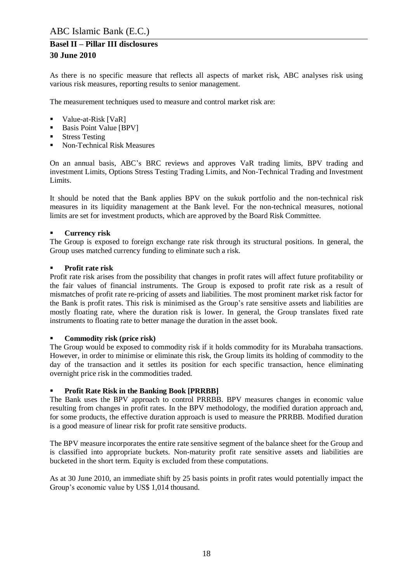As there is no specific measure that reflects all aspects of market risk, ABC analyses risk using various risk measures, reporting results to senior management.

The measurement techniques used to measure and control market risk are:

- Value-at-Risk [VaR]
- Basis Point Value [BPV]
- Stress Testing
- Non-Technical Risk Measures

On an annual basis, ABC's BRC reviews and approves VaR trading limits, BPV trading and investment Limits, Options Stress Testing Trading Limits, and Non-Technical Trading and Investment Limits.

It should be noted that the Bank applies BPV on the sukuk portfolio and the non-technical risk measures in its liquidity management at the Bank level. For the non-technical measures, notional limits are set for investment products, which are approved by the Board Risk Committee.

#### **Currency risk**

The Group is exposed to foreign exchange rate risk through its structural positions. In general, the Group uses matched currency funding to eliminate such a risk.

#### **Profit rate risk**

Profit rate risk arises from the possibility that changes in profit rates will affect future profitability or the fair values of financial instruments. The Group is exposed to profit rate risk as a result of mismatches of profit rate re-pricing of assets and liabilities. The most prominent market risk factor for the Bank is profit rates. This risk is minimised as the Group's rate sensitive assets and liabilities are mostly floating rate, where the duration risk is lower. In general, the Group translates fixed rate instruments to floating rate to better manage the duration in the asset book.

#### **Commodity risk (price risk)**

The Group would be exposed to commodity risk if it holds commodity for its Murabaha transactions. However, in order to minimise or eliminate this risk, the Group limits its holding of commodity to the day of the transaction and it settles its position for each specific transaction, hence eliminating overnight price risk in the commodities traded.

#### **Profit Rate Risk in the Banking Book [PRRBB]**

The Bank uses the BPV approach to control PRRBB. BPV measures changes in economic value resulting from changes in profit rates. In the BPV methodology, the modified duration approach and, for some products, the effective duration approach is used to measure the PRRBB. Modified duration is a good measure of linear risk for profit rate sensitive products.

The BPV measure incorporates the entire rate sensitive segment of the balance sheet for the Group and is classified into appropriate buckets. Non-maturity profit rate sensitive assets and liabilities are bucketed in the short term. Equity is excluded from these computations.

As at 30 June 2010, an immediate shift by 25 basis points in profit rates would potentially impact the Group's economic value by US\$ 1,014 thousand.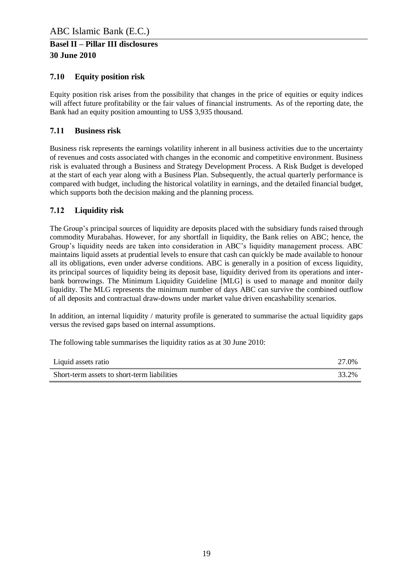### <span id="page-18-0"></span>**7.10 Equity position risk**

Equity position risk arises from the possibility that changes in the price of equities or equity indices will affect future profitability or the fair values of financial instruments. As of the reporting date, the Bank had an equity position amounting to US\$ 3,935 thousand.

### <span id="page-18-1"></span>**7.11 Business risk**

Business risk represents the earnings volatility inherent in all business activities due to the uncertainty of revenues and costs associated with changes in the economic and competitive environment. Business risk is evaluated through a Business and Strategy Development Process. A Risk Budget is developed at the start of each year along with a Business Plan. Subsequently, the actual quarterly performance is compared with budget, including the historical volatility in earnings, and the detailed financial budget, which supports both the decision making and the planning process.

### <span id="page-18-2"></span>**7.12 Liquidity risk**

The Group's principal sources of liquidity are deposits placed with the subsidiary funds raised through commodity Murabahas. However, for any shortfall in liquidity, the Bank relies on ABC; hence, the Group's liquidity needs are taken into consideration in ABC's liquidity management process. ABC maintains liquid assets at prudential levels to ensure that cash can quickly be made available to honour all its obligations, even under adverse conditions. ABC is generally in a position of excess liquidity, its principal sources of liquidity being its deposit base, liquidity derived from its operations and interbank borrowings. The Minimum Liquidity Guideline [MLG] is used to manage and monitor daily liquidity. The MLG represents the minimum number of days ABC can survive the combined outflow of all deposits and contractual draw-downs under market value driven encashability scenarios.

In addition, an internal liquidity / maturity profile is generated to summarise the actual liquidity gaps versus the revised gaps based on internal assumptions.

The following table summarises the liquidity ratios as at 30 June 2010:

| Liquid assets ratio                         | 27.0% |
|---------------------------------------------|-------|
| Short-term assets to short-term liabilities | 33.2% |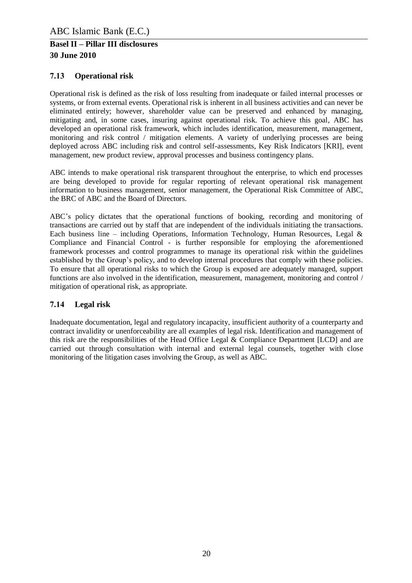### <span id="page-19-0"></span>**7.13 Operational risk**

Operational risk is defined as the risk of loss resulting from inadequate or failed internal processes or systems, or from external events. Operational risk is inherent in all business activities and can never be eliminated entirely; however, shareholder value can be preserved and enhanced by managing, mitigating and, in some cases, insuring against operational risk. To achieve this goal, ABC has developed an operational risk framework, which includes identification, measurement, management, monitoring and risk control / mitigation elements. A variety of underlying processes are being deployed across ABC including risk and control self-assessments, Key Risk Indicators [KRI], event management, new product review, approval processes and business contingency plans.

ABC intends to make operational risk transparent throughout the enterprise, to which end processes are being developed to provide for regular reporting of relevant operational risk management information to business management, senior management, the Operational Risk Committee of ABC, the BRC of ABC and the Board of Directors.

ABC's policy dictates that the operational functions of booking, recording and monitoring of transactions are carried out by staff that are independent of the individuals initiating the transactions. Each business line – including Operations, Information Technology, Human Resources, Legal  $\&$ Compliance and Financial Control - is further responsible for employing the aforementioned framework processes and control programmes to manage its operational risk within the guidelines established by the Group's policy, and to develop internal procedures that comply with these policies. To ensure that all operational risks to which the Group is exposed are adequately managed, support functions are also involved in the identification, measurement, management, monitoring and control / mitigation of operational risk, as appropriate.

### <span id="page-19-1"></span>**7.14 Legal risk**

Inadequate documentation, legal and regulatory incapacity, insufficient authority of a counterparty and contract invalidity or unenforceability are all examples of legal risk. Identification and management of this risk are the responsibilities of the Head Office Legal & Compliance Department [LCD] and are carried out through consultation with internal and external legal counsels, together with close monitoring of the litigation cases involving the Group, as well as ABC.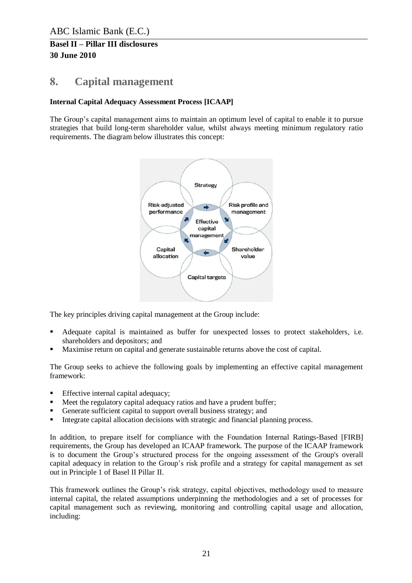# <span id="page-20-0"></span>**8. Capital management**

### **Internal Capital Adequacy Assessment Process [ICAAP]**

The Group's capital management aims to maintain an optimum level of capital to enable it to pursue strategies that build long-term shareholder value, whilst always meeting minimum regulatory ratio requirements. The diagram below illustrates this concept:



The key principles driving capital management at the Group include:

- Adequate capital is maintained as buffer for unexpected losses to protect stakeholders, i.e. shareholders and depositors; and
- Maximise return on capital and generate sustainable returns above the cost of capital.

The Group seeks to achieve the following goals by implementing an effective capital management framework:

- Effective internal capital adequacy;
- Meet the regulatory capital adequacy ratios and have a prudent buffer;
- Generate sufficient capital to support overall business strategy; and
- Integrate capital allocation decisions with strategic and financial planning process.

In addition, to prepare itself for compliance with the Foundation Internal Ratings-Based [FIRB] requirements, the Group has developed an ICAAP framework. The purpose of the ICAAP framework is to document the Group's structured process for the ongoing assessment of the Group's overall capital adequacy in relation to the Group's risk profile and a strategy for capital management as set out in Principle 1 of Basel II Pillar II.

This framework outlines the Group's risk strategy, capital objectives, methodology used to measure internal capital, the related assumptions underpinning the methodologies and a set of processes for capital management such as reviewing, monitoring and controlling capital usage and allocation, including: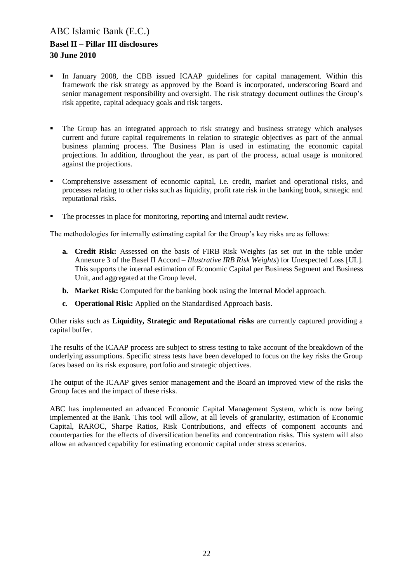- In January 2008, the CBB issued ICAAP guidelines for capital management. Within this framework the risk strategy as approved by the Board is incorporated, underscoring Board and senior management responsibility and oversight. The risk strategy document outlines the Group's risk appetite, capital adequacy goals and risk targets.
- The Group has an integrated approach to risk strategy and business strategy which analyses current and future capital requirements in relation to strategic objectives as part of the annual business planning process. The Business Plan is used in estimating the economic capital projections. In addition, throughout the year, as part of the process, actual usage is monitored against the projections.
- Comprehensive assessment of economic capital, i.e. credit, market and operational risks, and processes relating to other risks such as liquidity, profit rate risk in the banking book, strategic and reputational risks.
- The processes in place for monitoring, reporting and internal audit review.

The methodologies for internally estimating capital for the Group's key risks are as follows:

- **a. Credit Risk:** Assessed on the basis of FIRB Risk Weights (as set out in the table under Annexure 3 of the Basel II Accord – *Illustrative IRB Risk Weights*) for Unexpected Loss [UL]. This supports the internal estimation of Economic Capital per Business Segment and Business Unit, and aggregated at the Group level.
- **b. Market Risk:** Computed for the banking book using the Internal Model approach.
- **c. Operational Risk:** Applied on the Standardised Approach basis.

Other risks such as **Liquidity, Strategic and Reputational risks** are currently captured providing a capital buffer.

The results of the ICAAP process are subject to stress testing to take account of the breakdown of the underlying assumptions. Specific stress tests have been developed to focus on the key risks the Group faces based on its risk exposure, portfolio and strategic objectives.

The output of the ICAAP gives senior management and the Board an improved view of the risks the Group faces and the impact of these risks.

ABC has implemented an advanced Economic Capital Management System, which is now being implemented at the Bank. This tool will allow, at all levels of granularity, estimation of Economic Capital, RAROC, Sharpe Ratios, Risk Contributions, and effects of component accounts and counterparties for the effects of diversification benefits and concentration risks. This system will also allow an advanced capability for estimating economic capital under stress scenarios.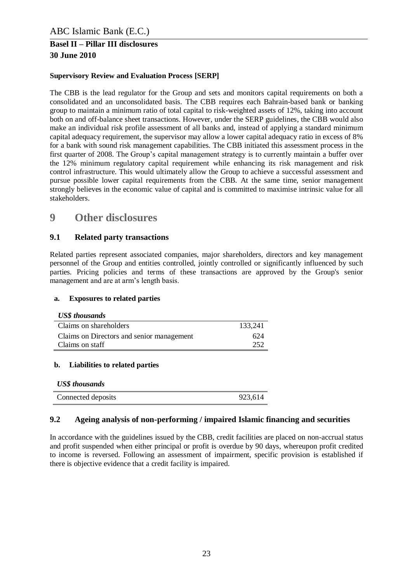### **Supervisory Review and Evaluation Process [SERP]**

The CBB is the lead regulator for the Group and sets and monitors capital requirements on both a consolidated and an unconsolidated basis. The CBB requires each Bahrain-based bank or banking group to maintain a minimum ratio of total capital to risk-weighted assets of 12%, taking into account both on and off-balance sheet transactions. However, under the SERP guidelines, the CBB would also make an individual risk profile assessment of all banks and, instead of applying a standard minimum capital adequacy requirement, the supervisor may allow a lower capital adequacy ratio in excess of 8% for a bank with sound risk management capabilities. The CBB initiated this assessment process in the first quarter of 2008. The Group's capital management strategy is to currently maintain a buffer over the 12% minimum regulatory capital requirement while enhancing its risk management and risk control infrastructure. This would ultimately allow the Group to achieve a successful assessment and pursue possible lower capital requirements from the CBB. At the same time, senior management strongly believes in the economic value of capital and is committed to maximise intrinsic value for all stakeholders.

# <span id="page-22-0"></span>**9 Other disclosures**

### <span id="page-22-1"></span>**9.1 Related party transactions**

Related parties represent associated companies, major shareholders, directors and key management personnel of the Group and entities controlled, jointly controlled or significantly influenced by such parties. Pricing policies and terms of these transactions are approved by the Group's senior management and are at arm's length basis.

#### **a. Exposures to related parties**

|  | <b>US\$</b> thousands |
|--|-----------------------|
|--|-----------------------|

| Claims on shareholders                    | 133,241 |
|-------------------------------------------|---------|
| Claims on Directors and senior management | 624     |
| Claims on staff                           | 252     |

#### **b. Liabilities to related parties**

| <b>US\$</b> thousands |         |
|-----------------------|---------|
| Connected deposits    | 923,614 |

#### <span id="page-22-2"></span>**9.2 Ageing analysis of non-performing / impaired Islamic financing and securities**

In accordance with the guidelines issued by the CBB, credit facilities are placed on non-accrual status and profit suspended when either principal or profit is overdue by 90 days, whereupon profit credited to income is reversed. Following an assessment of impairment, specific provision is established if there is objective evidence that a credit facility is impaired.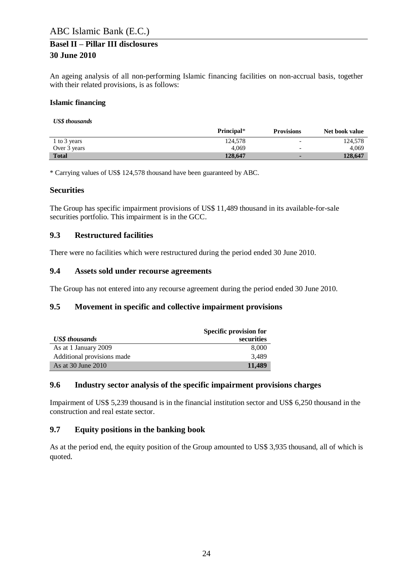An ageing analysis of all non-performing Islamic financing facilities on non-accrual basis, together with their related provisions, is as follows:

#### **Islamic financing**

*US\$ thousands*

|              | Principal* | <b>Provisions</b>        | Net book value |
|--------------|------------|--------------------------|----------------|
| 1 to 3 years | 124.578    | $\overline{\phantom{0}}$ | 124.578        |
| Over 3 years | 4.069      | $\overline{\phantom{0}}$ | 4.069          |
| <b>Total</b> | 128,647    |                          | 128,647        |

\* Carrying values of US\$ 124,578 thousand have been guaranteed by ABC.

#### **Securities**

The Group has specific impairment provisions of US\$ 11,489 thousand in its available-for-sale securities portfolio. This impairment is in the GCC.

### <span id="page-23-0"></span>**9.3 Restructured facilities**

There were no facilities which were restructured during the period ended 30 June 2010.

### <span id="page-23-1"></span>**9.4 Assets sold under recourse agreements**

The Group has not entered into any recourse agreement during the period ended 30 June 2010.

### <span id="page-23-2"></span>**9.5 Movement in specific and collective impairment provisions**

|                            | Specific provision for |
|----------------------------|------------------------|
| <b>US\$</b> thousands      | securities             |
| As at 1 January 2009       | 8.000                  |
| Additional provisions made | 3.489                  |
| As at 30 June 2010         | 11,489                 |

### <span id="page-23-3"></span>**9.6 Industry sector analysis of the specific impairment provisions charges**

Impairment of US\$ 5,239 thousand is in the financial institution sector and US\$ 6,250 thousand in the construction and real estate sector.

### <span id="page-23-4"></span>**9.7 Equity positions in the banking book**

As at the period end, the equity position of the Group amounted to US\$ 3,935 thousand, all of which is quoted.